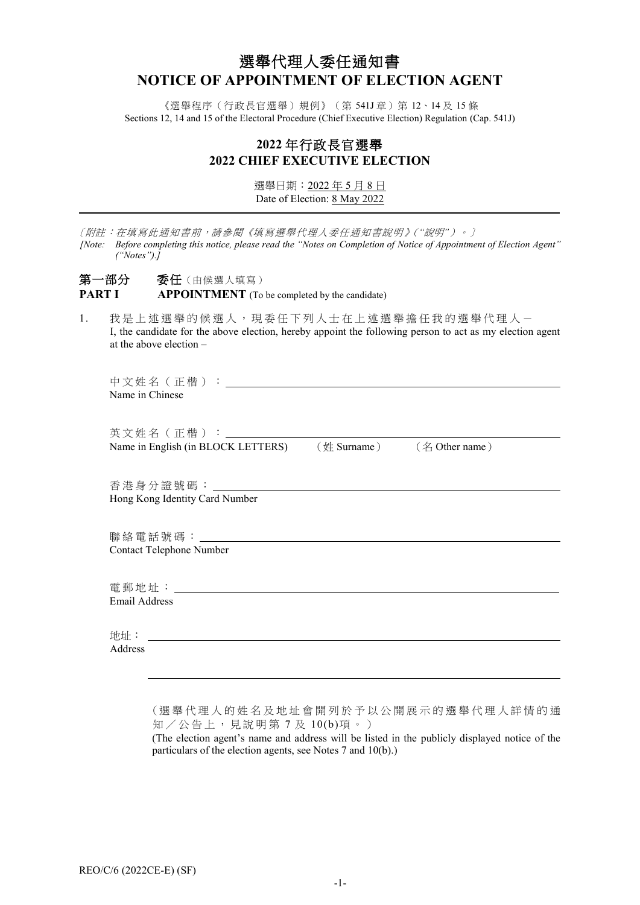# 選舉代理人委任通知書 **NOTICE OF APPOINTMENT OF ELECTION AGENT**

《選舉程序(行政長官選舉)規例》(第 541J 章)第 12、14 及 15 條 Sections 12, 14 and 15 of the Electoral Procedure (Chief Executive Election) Regulation (Cap. 541J)

## **2022** 年行政長官選舉 **2022 CHIEF EXECUTIVE ELECTION**

選舉日期:2022 年 5 月 8 日 Date of Election: 8 May 2022

|    | 〔附註:在填寫此通知書前,請參閱《填寫選舉代理人委任通知書說明》("說明")。〕<br>[Note: Before completing this notice, please read the "Notes on Completion of Notice of Appointment of Election Agent"<br>$('Notes'')$ .] |
|----|---------------------------------------------------------------------------------------------------------------------------------------------------------------------------------------|
|    | 第一部分 委任(由候選人填寫)<br><b>PART I</b><br><b>APPOINTMENT</b> (To be completed by the candidate)                                                                                             |
| 1. | 我是上述選舉的候選人,現委任下列人士在上述選舉擔任我的選舉代理人-<br>I, the candidate for the above election, hereby appoint the following person to act as my election agent<br>at the above election $-$            |
|    | 中文姓名(正楷):_______________<br>Name in Chinese                                                                                                                                           |
|    | 英文姓名(正楷):_____________________                                                                                                                                                        |
|    | (名 Other name)<br>$(\#$ Surname)<br>Name in English (in BLOCK LETTERS)                                                                                                                |
|    |                                                                                                                                                                                       |
|    | Hong Kong Identity Card Number                                                                                                                                                        |
|    | 聯絡電話號碼:                                                                                                                                                                               |
|    | Contact Telephone Number                                                                                                                                                              |
|    | 電郵地址: 2008年10月11日                                                                                                                                                                     |
|    | <b>Email Address</b>                                                                                                                                                                  |
|    | 地址:                                                                                                                                                                                   |
|    | Address                                                                                                                                                                               |
|    |                                                                                                                                                                                       |

(選舉代理人的姓名及地址會開列於 予以公開展示的 選舉代理人詳情的通 知/公告上,見說明第 7 及 10(b)項。)

(The election agent's name and address will be listed in the publicly displayed notice of the particulars of the election agents, see Notes 7 and 10(b).)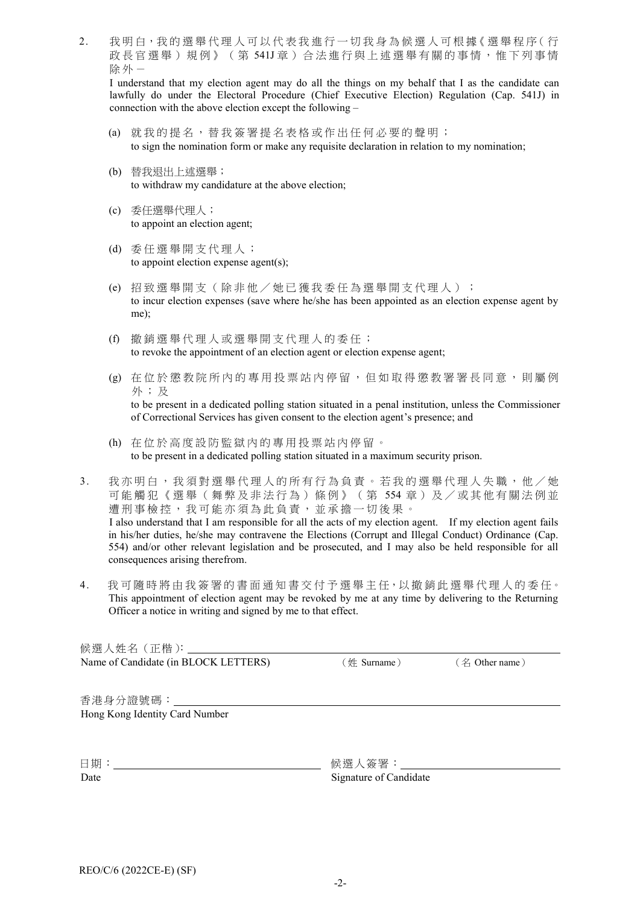2. 我明白,我的選舉代理人可以代表我進行一切我身為候選人可根據《選舉程序(行 政長官選舉)規例》(第541J章)合法進行與上述選舉有關的事情,惟下列事情 除外-

I understand that my election agent may do all the things on my behalf that I as the candidate can lawfully do under the Electoral Procedure (Chief Executive Election) Regulation (Cap. 541J) in connection with the above election except the following –

- (a) 就我的提名,替我簽署提名表格或作出任何必要的聲明; to sign the nomination form or make any requisite declaration in relation to my nomination;
- (b) 替我退出上述選舉; to withdraw my candidature at the above election;
- (c) 委任選舉代理人; to appoint an election agent;
- (d) 委任選舉開支代理人; to appoint election expense agent(s);
- (e) 招致選舉開支(除非他/她已獲我委任為選舉開支代理人 ) ; to incur election expenses (save where he/she has been appointed as an election expense agent by me);
- (f) 撤銷選舉代理人或選舉開支代理人的委任; to revoke the appointment of an election agent or election expense agent;
- (g) 在位於懲教院所內的專用投票站內停留,但如取得懲教署署長同意,則屬例 外;及 to be present in a dedicated polling station situated in a penal institution, unless the Commissioner of Correctional Services has given consent to the election agent's presence; and
- (h) 在 位 於高度設防監獄內的專用投票站 內停留 。 to be present in a dedicated polling station situated in a maximum security prison.
- 3. 我亦明白, 我須對選舉代理人的所有行為負責。若我的選舉代理人失職, 他/她 可能觸犯《選舉(舞弊及非法行為)條例》(第 554 章)及/或其他有關法例並 遭刑事檢控,我可能亦須為此負責,並承擔一切後果。 I also understand that I am responsible for all the acts of my election agent. If my election agent fails in his/her duties, he/she may contravene the Elections (Corrupt and Illegal Conduct) Ordinance (Cap. 554) and/or other relevant legislation and be prosecuted, and I may also be held responsible for all consequences arising therefrom.
- 4. 我可隨時將由我簽署的書面通知書交付予選舉主任,以撤銷此選舉代理人的委任。 This appointment of election agent may be revoked by me at any time by delivering to the Returning Officer a notice in writing and signed by me to that effect.

候選人姓名(正楷): Name of Candidate (in BLOCK LETTERS) (姓 Surname) (名 Other name)

香港身分證號碼: Hong Kong Identity Card Number

日期: 候選人簽署:

Date Signature of Candidate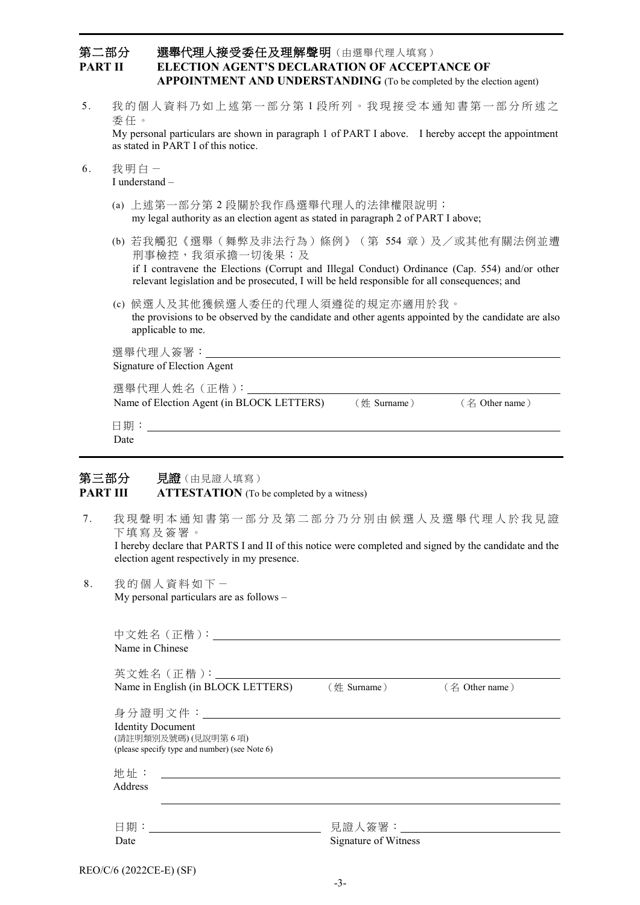## 第二部分 選舉代理人接受委任及理解聲明(由選舉代理人填寫) **PART II ELECTION AGENT'S DECLARATION OF ACCEPTANCE OF APPOINTMENT AND UNDERSTANDING** (To be completed by the election agent)

5. 我的個人資料乃如上述第一部分第1段所列。我現接受本通知書第一部分所述之 委 任 。

My personal particulars are shown in paragraph 1 of PART I above. I hereby accept the appointment as stated in PART I of this notice.

- $6.$  我明白-I understand –
	- (a) 上述第一部分第 2 段關於我作爲選舉代理人的法律權限說明; my legal authority as an election agent as stated in paragraph 2 of PART I above;
	- (b) 若我觸犯《選舉(舞弊及非法行為)條例》(第 554 章)及/或其他有關法例並遭 刑事檢控,我須承擔一切後果;及 if I contravene the Elections (Corrupt and Illegal Conduct) Ordinance (Cap. 554) and/or other relevant legislation and be prosecuted, I will be held responsible for all consequences; and
	- (c) 候選人及其他獲候選人委任的代理人須遵從的規定亦適用於我。 the provisions to be observed by the candidate and other agents appointed by the candidate are also applicable to me.

| 選舉代理人簽署:                                  |             |                |
|-------------------------------------------|-------------|----------------|
| Signature of Election Agent               |             |                |
| 選舉代理人姓名 (正楷):                             |             |                |
| Name of Election Agent (in BLOCK LETTERS) | (姓 Surname) | (名 Other name) |
| $\Box$                                    |             |                |

日期: Date

## 第三部分 見證(由見證人填寫) **PART III ATTESTATION** (To be completed by a witness)

7. 我現聲明本通知書第一部分及第二部分乃分別由候選人及選舉代理人於我見證 下填寫及簽署。

I hereby declare that PARTS I and II of this notice were completed and signed by the candidate and the election agent respectively in my presence.

8. 我 的 個人資料如下- My personal particulars are as follows –

| Name in Chinese                                                                                                                         |                                      |                     |
|-----------------------------------------------------------------------------------------------------------------------------------------|--------------------------------------|---------------------|
| 英文姓名 (正楷): _________________<br>Name in English (in BLOCK LETTERS) (姓 Surname)                                                          |                                      | $($ $4$ Other name) |
| 身分證明文件:___________________<br><b>Identity Document</b><br>(請註明類別及號碼)(見說明第6項)<br>(please specify type and number) (see Note 6)           |                                      |                     |
| 地址:<br><u> 1989 - Jan Stern Stern Stern Stern Stern Stern Stern Stern Stern Stern Stern Stern Stern Stern Stern Stern St</u><br>Address |                                      |                     |
| 曰 期: そうしゃ こうしょう<br>Date                                                                                                                 | 見證人簽署: しんしょう<br>Signature of Witness |                     |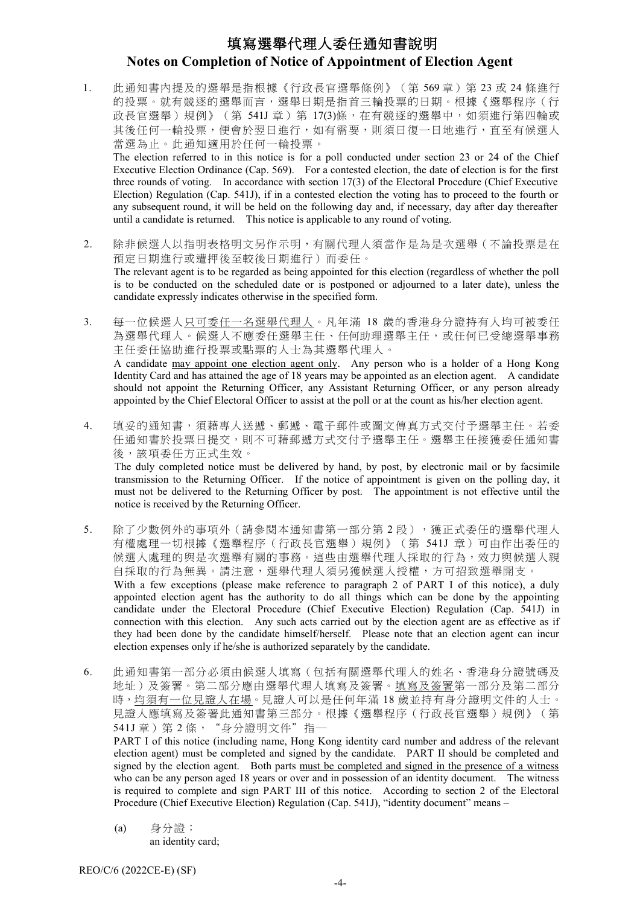# 填寫選舉代理人委任通知書說明 **Notes on Completion of Notice of Appointment of Election Agent**

1. 此通知書內提及的選舉是指根據《行政長官選舉條例》(第569章)第 23 或 24 條進行 的投票。就有競逐的選舉而言,選舉日期是指首三輪投票的日期。根據《選舉程序(行 政長官選舉)規例》(第 541J 章)第 17(3)條,在有競逐的選舉中,如須進行第四輪或 其後任何一輪投票,便會於翌日進行,如有需要,則須日復一日地進行,直至有候選人 當選為止。此通知適用於任何一輪投票。

The election referred to in this notice is for a poll conducted under section 23 or 24 of the Chief Executive Election Ordinance (Cap. 569). For a contested election, the date of election is for the first three rounds of voting. In accordance with section 17(3) of the Electoral Procedure (Chief Executive Election) Regulation (Cap. 541J), if in a contested election the voting has to proceed to the fourth or any subsequent round, it will be held on the following day and, if necessary, day after day thereafter until a candidate is returned. This notice is applicable to any round of voting.

- 2. 除非候選人以指明表格明文另作示明,有關代理人須當作是為是次選舉(不論投票是在 預定日期進行或遭押後至較後日期進行)而委任。 The relevant agent is to be regarded as being appointed for this election (regardless of whether the poll is to be conducted on the scheduled date or is postponed or adjourned to a later date), unless the candidate expressly indicates otherwise in the specified form.
- 3. 每一位候選人只可委任一名選舉代理人。凡年滿 18 歲的香港身分證持有人均可被委任 為選舉代理人。候選人不應委任選舉主任、任何助理選舉主任,或任何已受總選舉事務 主任委任協助進行投票或點票的人士為其選舉代理人。 A candidate may appoint one election agent only. Any person who is a holder of a Hong Kong Identity Card and has attained the age of 18 years may be appointed as an election agent. A candidate should not appoint the Returning Officer, any Assistant Returning Officer, or any person already appointed by the Chief Electoral Officer to assist at the poll or at the count as his/her election agent.
- 4. 填妥的通知書,須藉專人送遞、郵遞、電子郵件或圖文傳真方式交付予選舉主任。若委 任通知書於投票日提交,則不可藉郵遞方式交付予選舉主任。選舉主任接獲委任通知書 後,該項委任方正式生效。 The duly completed notice must be delivered by hand, by post, by electronic mail or by facsimile transmission to the Returning Officer. If the notice of appointment is given on the polling day, it must not be delivered to the Returning Officer by post. The appointment is not effective until the notice is received by the Returning Officer.
- 5. 除了少數例外的事項外(請參閱本通知書第一部分第2段),獲正式委任的選舉代理人 有權處理一切根據《選舉程序(行政長官選舉)規例》(第 541J 章)可由作出委任的 候選人處理的與是次選舉有關的事務。這些由選舉代理人採取的行為,效力與候選人親 自採取的行為無異。請注意,選舉代理人須另獲候選人授權,方可招致選舉開支。 With a few exceptions (please make reference to paragraph 2 of PART I of this notice), a duly appointed election agent has the authority to do all things which can be done by the appointing candidate under the Electoral Procedure (Chief Executive Election) Regulation (Cap. 541J) in connection with this election. Any such acts carried out by the election agent are as effective as if they had been done by the candidate himself/herself. Please note that an election agent can incur election expenses only if he/she is authorized separately by the candidate.
- 6. 此通知書第一部分必須由候選人填寫(包括有關選舉代理人的姓名、香港身分證號碼及 地址)及簽署。第二部分應由選舉代理人填寫及簽署。填寫及簽署第一部分及第二部分 時,均須有一位見證人在場。見證人可以是任何年滿 18 歲並持有身分證明文件的人士。 見證人應填寫及簽署此通知書第三部分。根據《選舉程序(行政長官選舉)規例》(第 541J 章) 第 2 條, "身分證明文件"指一

PART I of this notice (including name, Hong Kong identity card number and address of the relevant election agent) must be completed and signed by the candidate. PART II should be completed and signed by the election agent. Both parts must be completed and signed in the presence of a witness who can be any person aged 18 years or over and in possession of an identity document. The witness is required to complete and sign PART III of this notice. According to section 2 of the Electoral Procedure (Chief Executive Election) Regulation (Cap. 541J), "identity document" means –

(a) 身分證; an identity card;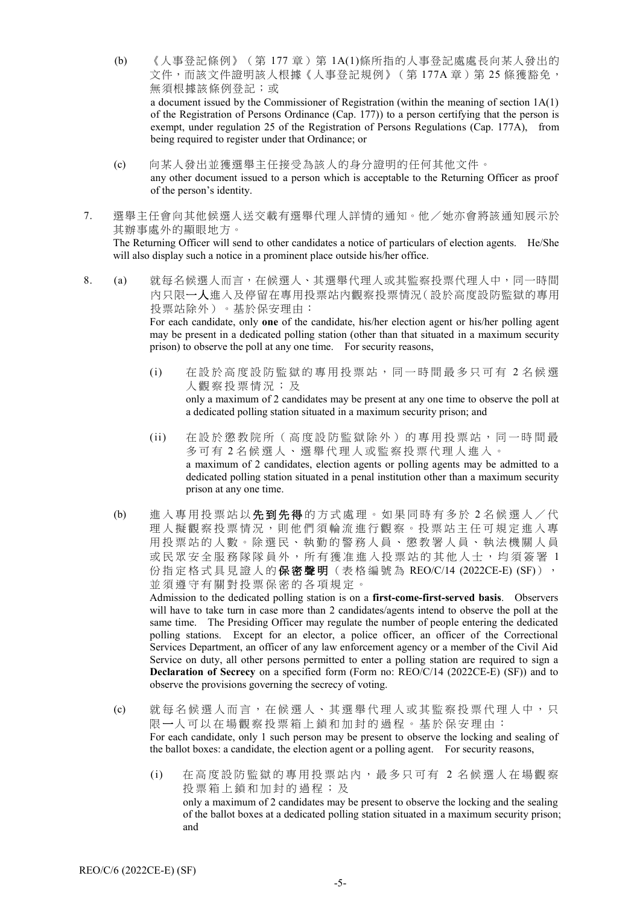- (b) 《人事登記條例》(第 177 章)第 1A(1)條所指的人事登記處處長向某人發出的 文件,而該文件證明該人根據《人事登記規例》(第177A章)第25條獲豁免, 無須根據該條例登記;或 a document issued by the Commissioner of Registration (within the meaning of section 1A(1) of the Registration of Persons Ordinance (Cap. 177)) to a person certifying that the person is exempt, under regulation 25 of the Registration of Persons Regulations (Cap. 177A), from being required to register under that Ordinance; or
- (c) 向某人發出並獲選舉主任接受為該人的身分證明的任何其他文件。 any other document issued to a person which is acceptable to the Returning Officer as proof of the person's identity.
- 7. 選舉主任會向其他候選人送交載有選舉代理人詳情的通知。他/她亦會將該通知展示於 其辦事處外的顯眼地方。 The Returning Officer will send to other candidates a notice of particulars of election agents. He/She

will also display such a notice in a prominent place outside his/her office.

8. (a) 就每名候選人而言,在候選人、其選舉代理人或其監察投票代理人中,同一時間 內只限一人進入及停留在專用投票站內觀察投票情況(設於高度設防監獄的專用 投票站除外)。基於保安理由:

For each candidate, only **one** of the candidate, his/her election agent or his/her polling agent may be present in a dedicated polling station (other than that situated in a maximum security prison) to observe the poll at any one time. For security reasons,

- (i) 在設於高度設防監獄的專用投票站,同一時間最多只可有 2 名候選 人觀察投票情況 ; 及 only a maximum of 2 candidates may be present at any one time to observe the poll at a dedicated polling station situated in a maximum security prison; and
- (ii) 在設於 懲教院所 ( 高 度 設 防 監 獄 除 外 ) 的 專 用 投 票 站 , 同 一 時 間 最 多可有 2 名候選人、選舉代理人或監察投票代理人進入。 a maximum of 2 candidates, election agents or polling agents may be admitted to a dedicated polling station situated in a penal institution other than a maximum security prison at any one time.
- (b) 進入專用投票站以先到先得的方式處理。如果同時有多於 2 名候選人/代 理人擬觀察投票情況,則他們須輪流進行觀察。投票站主任可規定進入專 用投票站的人數。除選民、執勤的警務人員、懲教署人員、執法機關人員 或民眾安全服務隊隊員外,所有獲准進入投票站的其他人士,均須簽署 1 份指定格式具見證人的**保密聲明**(表格編號為 REO/C/14 (2022CE-E) (SF)), 並須遵守有關對投票保密的各項規定。

Admission to the dedicated polling station is on a **first-come-first-served basis**. Observers will have to take turn in case more than 2 candidates/agents intend to observe the poll at the same time. The Presiding Officer may regulate the number of people entering the dedicated polling stations. Except for an elector, a police officer, an officer of the Correctional Services Department, an officer of any law enforcement agency or a member of the Civil Aid Service on duty, all other persons permitted to enter a polling station are required to sign a **Declaration of Secrecy** on a specified form (Form no: REO/C/14 (2022CE-E) (SF)) and to observe the provisions governing the secrecy of voting.

- (c) 就每名候選人而言,在候選人、其選舉代理人或其監察投票代理人中,只 限一人可以在場觀察投票箱上鎖和加封的過程。基於保安理由: For each candidate, only 1 such person may be present to observe the locking and sealing of the ballot boxes: a candidate, the election agent or a polling agent. For security reasons,
	- (i) 在高度設防監獄的專用投票站內,最多只可有 2 名候選人在場觀察 投票箱上鎖 和加封的過程 ; 及 only a maximum of 2 candidates may be present to observe the locking and the sealing of the ballot boxes at a dedicated polling station situated in a maximum security prison; and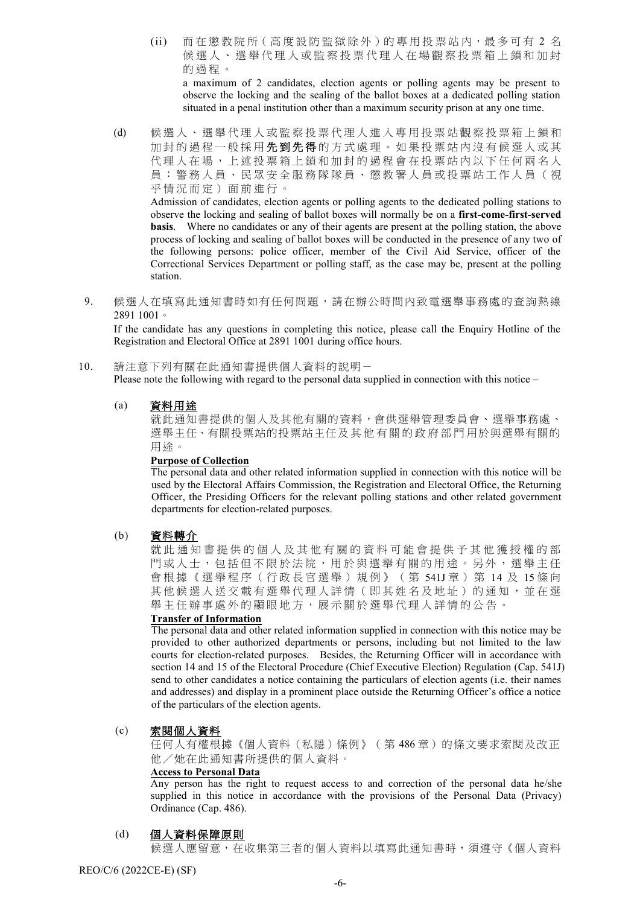- (ii) 而在懲教院所(高度設防監獄除外)的專用投票站内,最多可有 2 名 候選人、選舉代理人或監察投票代理人在場觀察投票箱上鎖和加封 的過程 。 a maximum of 2 candidates, election agents or polling agents may be present to observe the locking and the sealing of the ballot boxes at a dedicated polling station situated in a penal institution other than a maximum security prison at any one time.
- (d) 候選人、選舉代理人或監察投票代理人進入專用投票站觀察投票箱上鎖和 加封的過程一般採用先到先得的方式處理。如果投票站内沒有候選人或其 代理人在場,上述投票箱上鎖和加封的過程會在投票站內以下任何兩名人 員 : 警務人員、民眾安全服務隊隊員、懲教署人員或投票站工作人員 ( 視 乎情況而定 ) 面前進行 。

Admission of candidates, election agents or polling agents to the dedicated polling stations to observe the locking and sealing of ballot boxes will normally be on a **first-come-first-served basis**. Where no candidates or any of their agents are present at the polling station, the above process of locking and sealing of ballot boxes will be conducted in the presence of any two of the following persons: police officer, member of the Civil Aid Service, officer of the Correctional Services Department or polling staff, as the case may be, present at the polling station.

9. 候選人在填寫此通知書時如有任何問題,請在辦公時間內致電選舉事務處的查詢熱線 2891 1001。

If the candidate has any questions in completing this notice, please call the Enquiry Hotline of the Registration and Electoral Office at 2891 1001 during office hours.

10. 請注意下列有關在此通知書提供個人資料的說明- Please note the following with regard to the personal data supplied in connection with this notice –

### (a) 資料用途

就此通知書提供的個人及其他有關的資料,會供選舉管理委員會、選舉事務處、 選舉主任、有關投票站的投票站主任及其他有關的政府部門用於與選舉有關的 用途。

#### **Purpose of Collection**

The personal data and other related information supplied in connection with this notice will be used by the Electoral Affairs Commission, the Registration and Electoral Office, the Returning Officer, the Presiding Officers for the relevant polling stations and other related government departments for election-related purposes.

## (b) 資料轉介

就此 通 知 書 提 供 的 個 人 及 其 他 有 關 的 資 料 可 能 會 提 供 予 其 他 獲 授 權 的 部 門或人士,包括但不限於法院,用於與選舉有關的用途。另外,選舉主任 會根據《選舉程序(行政長官選舉)規例》 ( 第 541J 章 ) 第 14 及 15 條 向 其他候選人送交載有選舉代理人詳情(即其姓名及地址)的通知,並在選 舉主任辦事處外的顯眼地方,展示關於選舉代理人詳情的公告。

## **Transfer of Information**

The personal data and other related information supplied in connection with this notice may be provided to other authorized departments or persons, including but not limited to the law courts for election-related purposes. Besides, the Returning Officer will in accordance with section 14 and 15 of the Electoral Procedure (Chief Executive Election) Regulation (Cap. 541J) send to other candidates a notice containing the particulars of election agents (i.e. their names and addresses) and display in a prominent place outside the Returning Officer's office a notice of the particulars of the election agents.

#### (c) 索閱個人資料

任何人有權根據《個人資料(私隱)條例》(第 486 章)的條文要求索閱及改正 他/她在此通知書所提供的個人資料。

#### **Access to Personal Data**

Any person has the right to request access to and correction of the personal data he/she supplied in this notice in accordance with the provisions of the Personal Data (Privacy) Ordinance (Cap. 486).

## (d) 個人資料保障原則

候選人應留意,在收集第三者的個人資料以填寫此通知書時,須遵守《個人資料